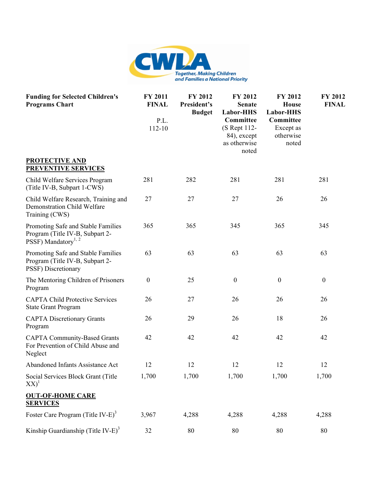

| <b>Funding for Selected Children's</b><br><b>Programs Chart</b>                                          | FY 2011<br><b>FINAL</b><br>P.L.<br>112-10 | FY 2012<br>President's<br><b>Budget</b> | FY 2012<br><b>Senate</b><br>Labor-HHS<br>Committee<br>(S Rept 112-<br>84), except<br>as otherwise<br>noted | FY 2012<br><b>House</b><br>Labor-HHS<br>Committee<br>Except as<br>otherwise<br>noted | FY 2012<br><b>FINAL</b> |
|----------------------------------------------------------------------------------------------------------|-------------------------------------------|-----------------------------------------|------------------------------------------------------------------------------------------------------------|--------------------------------------------------------------------------------------|-------------------------|
| <b>PROTECTIVE AND</b><br><b>PREVENTIVE SERVICES</b>                                                      |                                           |                                         |                                                                                                            |                                                                                      |                         |
| Child Welfare Services Program<br>(Title IV-B, Subpart 1-CWS)                                            | 281                                       | 282                                     | 281                                                                                                        | 281                                                                                  | 281                     |
| Child Welfare Research, Training and<br>Demonstration Child Welfare<br>Training (CWS)                    | 27                                        | 27                                      | 27                                                                                                         | 26                                                                                   | 26                      |
| Promoting Safe and Stable Families<br>Program (Title IV-B, Subpart 2-<br>PSSF) Mandatory <sup>1, 2</sup> | 365                                       | 365                                     | 345                                                                                                        | 365                                                                                  | 345                     |
| Promoting Safe and Stable Families<br>Program (Title IV-B, Subpart 2-<br>PSSF) Discretionary             | 63                                        | 63                                      | 63                                                                                                         | 63                                                                                   | 63                      |
| The Mentoring Children of Prisoners<br>Program                                                           | $\boldsymbol{0}$                          | 25                                      | $\boldsymbol{0}$                                                                                           | $\boldsymbol{0}$                                                                     | $\boldsymbol{0}$        |
| <b>CAPTA Child Protective Services</b><br><b>State Grant Program</b>                                     | 26                                        | 27                                      | 26                                                                                                         | 26                                                                                   | 26                      |
| <b>CAPTA Discretionary Grants</b><br>Program                                                             | 26                                        | 29                                      | 26                                                                                                         | 18                                                                                   | 26                      |
| <b>CAPTA Community-Based Grants</b><br>For Prevention of Child Abuse and<br>Neglect                      | 42                                        | 42                                      | 42                                                                                                         | 42                                                                                   | 42                      |
| Abandoned Infants Assistance Act                                                                         | 12                                        | 12                                      | 12                                                                                                         | 12                                                                                   | 12                      |
| Social Services Block Grant (Title<br>$XX)^{1}$                                                          | 1,700                                     | 1,700                                   | 1,700                                                                                                      | 1,700                                                                                | 1,700                   |
| <b>OUT-OF-HOME CARE</b><br><b>SERVICES</b>                                                               |                                           |                                         |                                                                                                            |                                                                                      |                         |
| Foster Care Program (Title IV-E) <sup>3</sup>                                                            | 3,967                                     | 4,288                                   | 4,288                                                                                                      | 4,288                                                                                | 4,288                   |
| Kinship Guardianship (Title IV-E) <sup>3</sup>                                                           | 32                                        | 80                                      | 80                                                                                                         | 80                                                                                   | 80                      |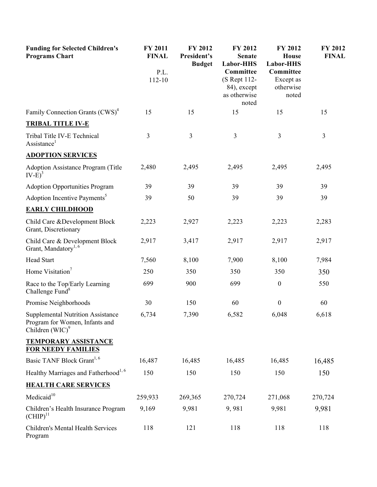| <b>Funding for Selected Children's</b><br><b>Programs Chart</b>                                  | FY 2011<br><b>FINAL</b><br>P.L.<br>112-10 | FY 2012<br>President's<br><b>Budget</b> | FY 2012<br><b>Senate</b><br>Labor-HHS<br>Committee<br>(S Rept 112-<br>84), except<br>as otherwise<br>noted | FY 2012<br><b>House</b><br>Labor-HHS<br>Committee<br>Except as<br>otherwise<br>noted | FY 2012<br><b>FINAL</b> |
|--------------------------------------------------------------------------------------------------|-------------------------------------------|-----------------------------------------|------------------------------------------------------------------------------------------------------------|--------------------------------------------------------------------------------------|-------------------------|
| Family Connection Grants (CWS) <sup>4</sup>                                                      | 15                                        | 15                                      | 15                                                                                                         | 15                                                                                   | 15                      |
| <b>TRIBAL TITLE IV-E</b>                                                                         |                                           |                                         |                                                                                                            |                                                                                      |                         |
| Tribal Title IV-E Technical<br>Assistance <sup>1</sup>                                           | 3                                         | 3                                       | $\overline{3}$                                                                                             | $\overline{3}$                                                                       | 3                       |
| <b>ADOPTION SERVICES</b>                                                                         |                                           |                                         |                                                                                                            |                                                                                      |                         |
| Adoption Assistance Program (Title<br>$IV-E$ <sup>3</sup>                                        | 2,480                                     | 2,495                                   | 2,495                                                                                                      | 2,495                                                                                | 2,495                   |
| <b>Adoption Opportunities Program</b>                                                            | 39                                        | 39                                      | 39                                                                                                         | 39                                                                                   | 39                      |
| Adoption Incentive Payments <sup>5</sup>                                                         | 39                                        | 50                                      | 39                                                                                                         | 39                                                                                   | 39                      |
| <b>EARLY CHILDHOOD</b>                                                                           |                                           |                                         |                                                                                                            |                                                                                      |                         |
| Child Care & Development Block<br>Grant, Discretionary                                           | 2,223                                     | 2,927                                   | 2,223                                                                                                      | 2,223                                                                                | 2,283                   |
| Child Care & Development Block<br>Grant, Mandatory <sup>1, 6</sup>                               | 2,917                                     | 3,417                                   | 2,917                                                                                                      | 2,917                                                                                | 2,917                   |
| <b>Head Start</b>                                                                                | 7,560                                     | 8,100                                   | 7,900                                                                                                      | 8,100                                                                                | 7,984                   |
| Home Visitation <sup>7</sup>                                                                     | 250                                       | 350                                     | 350                                                                                                        | 350                                                                                  | 350                     |
| Race to the Top/Early Learning<br>Challenge Fund <sup>8</sup>                                    | 699                                       | 900                                     | 699                                                                                                        | $\boldsymbol{0}$                                                                     | 550                     |
| Promise Neighborhoods                                                                            | 30                                        | 150                                     | 60                                                                                                         | $\boldsymbol{0}$                                                                     | 60                      |
| <b>Supplemental Nutrition Assistance</b><br>Program for Women, Infants and<br>Children $(WIC)^9$ | 6,734                                     | 7,390                                   | 6,582                                                                                                      | 6,048                                                                                | 6,618                   |
| <b>TEMPORARY ASSISTANCE</b><br><b>FOR NEEDY FAMILIES</b>                                         |                                           |                                         |                                                                                                            |                                                                                      |                         |
| Basic TANF Block Grant <sup>1, 6</sup>                                                           | 16,487                                    | 16,485                                  | 16,485                                                                                                     | 16,485                                                                               | 16,485                  |
| Healthy Marriages and Fatherhood <sup>1, 6</sup>                                                 | 150                                       | 150                                     | 150                                                                                                        | 150                                                                                  | 150                     |
| <b>HEALTH CARE SERVICES</b>                                                                      |                                           |                                         |                                                                                                            |                                                                                      |                         |
| Medicaid <sup>10</sup>                                                                           | 259,933                                   | 269,365                                 | 270,724                                                                                                    | 271,068                                                                              | 270,724                 |
| Children's Health Insurance Program<br>$(CHIP)^{11}$                                             | 9,169                                     | 9,981                                   | 9,981                                                                                                      | 9,981                                                                                | 9,981                   |
| Children's Mental Health Services<br>Program                                                     | 118                                       | 121                                     | 118                                                                                                        | 118                                                                                  | 118                     |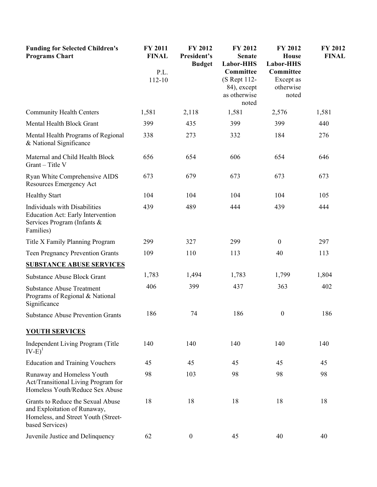| <b>Funding for Selected Children's</b><br><b>Programs Chart</b>                                                             | FY 2011<br><b>FINAL</b> | FY 2012<br>President's<br><b>Budget</b> | FY 2012<br><b>Senate</b><br>Labor-HHS                             | FY 2012<br><b>House</b><br>Labor-HHS         | <b>FY 2012</b><br><b>FINAL</b> |
|-----------------------------------------------------------------------------------------------------------------------------|-------------------------|-----------------------------------------|-------------------------------------------------------------------|----------------------------------------------|--------------------------------|
|                                                                                                                             | P.L.<br>112-10          |                                         | Committee<br>(S Rept 112-<br>84), except<br>as otherwise<br>noted | Committee<br>Except as<br>otherwise<br>noted |                                |
| <b>Community Health Centers</b>                                                                                             | 1,581                   | 2,118                                   | 1,581                                                             | 2,576                                        | 1,581                          |
| Mental Health Block Grant                                                                                                   | 399                     | 435                                     | 399                                                               | 399                                          | 440                            |
| Mental Health Programs of Regional<br>& National Significance                                                               | 338                     | 273                                     | 332                                                               | 184                                          | 276                            |
| Maternal and Child Health Block<br>Grant - Title V                                                                          | 656                     | 654                                     | 606                                                               | 654                                          | 646                            |
| Ryan White Comprehensive AIDS<br>Resources Emergency Act                                                                    | 673                     | 679                                     | 673                                                               | 673                                          | 673                            |
| <b>Healthy Start</b>                                                                                                        | 104                     | 104                                     | 104                                                               | 104                                          | 105                            |
| <b>Individuals with Disabilities</b><br>Education Act: Early Intervention<br>Services Program (Infants &<br>Families)       | 439                     | 489                                     | 444                                                               | 439                                          | 444                            |
| Title X Family Planning Program                                                                                             | 299                     | 327                                     | 299                                                               | $\boldsymbol{0}$                             | 297                            |
| <b>Teen Pregnancy Prevention Grants</b>                                                                                     | 109                     | 110                                     | 113                                                               | 40                                           | 113                            |
| <b>SUBSTANCE ABUSE SERVICES</b>                                                                                             |                         |                                         |                                                                   |                                              |                                |
| <b>Substance Abuse Block Grant</b>                                                                                          | 1,783                   | 1,494                                   | 1,783                                                             | 1,799                                        | 1,804                          |
| <b>Substance Abuse Treatment</b><br>Programs of Regional & National<br>Significance                                         | 406                     | 399                                     | 437                                                               | 363                                          | 402                            |
| <b>Substance Abuse Prevention Grants</b>                                                                                    | 186                     | 74                                      | 186                                                               | $\boldsymbol{0}$                             | 186                            |
| <b>YOUTH SERVICES</b>                                                                                                       |                         |                                         |                                                                   |                                              |                                |
| Independent Living Program (Title<br>$IV-E)^{1}$                                                                            | 140                     | 140                                     | 140                                                               | 140                                          | 140                            |
| <b>Education and Training Vouchers</b>                                                                                      | 45                      | 45                                      | 45                                                                | 45                                           | 45                             |
| Runaway and Homeless Youth<br>Act/Transitional Living Program for<br>Homeless Youth/Reduce Sex Abuse                        | 98                      | 103                                     | 98                                                                | 98                                           | 98                             |
| Grants to Reduce the Sexual Abuse<br>and Exploitation of Runaway,<br>Homeless, and Street Youth (Street-<br>based Services) | 18                      | 18                                      | 18                                                                | 18                                           | 18                             |
| Juvenile Justice and Delinquency                                                                                            | 62                      | $\boldsymbol{0}$                        | 45                                                                | 40                                           | 40                             |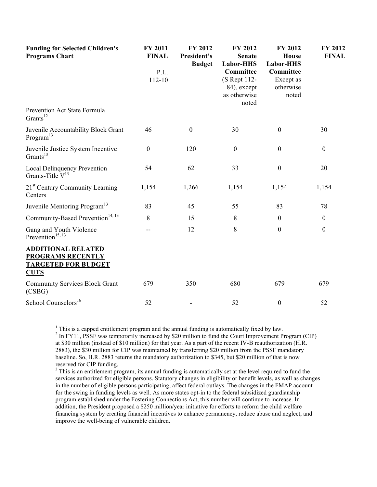| <b>Funding for Selected Children's</b><br><b>Programs Chart</b>                             | FY 2011<br><b>FINAL</b><br>P.L.<br>112-10 | FY 2012<br>President's<br><b>Budget</b> | FY 2012<br><b>Senate</b><br>Labor-HHS<br>Committee<br>(S Rept 112-<br>84), except<br>as otherwise<br>noted | FY 2012<br>House<br>Labor-HHS<br>Committee<br>Except as<br>otherwise<br>noted | FY 2012<br><b>FINAL</b> |
|---------------------------------------------------------------------------------------------|-------------------------------------------|-----------------------------------------|------------------------------------------------------------------------------------------------------------|-------------------------------------------------------------------------------|-------------------------|
| Prevention Act State Formula<br>Grants <sup>12</sup>                                        |                                           |                                         |                                                                                                            |                                                                               |                         |
| Juvenile Accountability Block Grant<br>Program <sup>13</sup>                                | 46                                        | $\boldsymbol{0}$                        | 30                                                                                                         | $\boldsymbol{0}$                                                              | 30                      |
| Juvenile Justice System Incentive<br>Grants $13$                                            | $\boldsymbol{0}$                          | 120                                     | $\boldsymbol{0}$                                                                                           | $\boldsymbol{0}$                                                              | $\boldsymbol{0}$        |
| <b>Local Delinquency Prevention</b><br>Grants-Title $V^{13}$                                | 54                                        | 62                                      | 33                                                                                                         | $\boldsymbol{0}$                                                              | 20                      |
| 21 <sup>st</sup> Century Community Learning<br>Centers                                      | 1,154                                     | 1,266                                   | 1,154                                                                                                      | 1,154                                                                         | 1,154                   |
| Juvenile Mentoring Program <sup>13</sup>                                                    | 83                                        | 45                                      | 55                                                                                                         | 83                                                                            | 78                      |
| Community-Based Prevention <sup>14, 13</sup>                                                | 8                                         | 15                                      | 8                                                                                                          | $\boldsymbol{0}$                                                              | $\boldsymbol{0}$        |
| Gang and Youth Violence<br>Prevention <sup>15, 13</sup>                                     |                                           | 12                                      | 8                                                                                                          | $\boldsymbol{0}$                                                              | $\boldsymbol{0}$        |
| <b>ADDITIONAL RELATED</b><br>PROGRAMS RECENTLY<br><b>TARGETED FOR BUDGET</b><br><b>CUTS</b> |                                           |                                         |                                                                                                            |                                                                               |                         |
| <b>Community Services Block Grant</b><br>(CSBG)                                             | 679                                       | 350                                     | 680                                                                                                        | 679                                                                           | 679                     |
| School Counselors <sup>16</sup>                                                             | 52                                        |                                         | 52                                                                                                         | $\boldsymbol{0}$                                                              | 52                      |

<sup>1</sup> This is a capped entitlement program and the annual funding is automatically fixed by law. <sup>2</sup> In FY11, PSSF was temporarily increased by \$20 million to fund the Court Improvement Program (CIP) at \$30 million (instead of \$10 million) for that year. As a part of the recent IV-B reauthorization (H.R. 2883), the \$30 million for CIP was maintained by transferring \$20 million from the PSSF mandatory baseline. So, H.R. 2883 returns the mandatory authorization to \$345, but \$20 million of that is now reserved for CIP funding.

 $3$  This is an entitlement program, its annual funding is automatically set at the level required to fund the services authorized for eligible persons. Statutory changes in eligibility or benefit levels, as well as changes in the number of eligible persons participating, affect federal outlays. The changes in the FMAP account for the swing in funding levels as well. As more states opt-in to the federal subsidized guardianship program established under the Fostering Connections Act, this number will continue to increase. In addition, the President proposed a \$250 million/year initiative for efforts to reform the child welfare financing system by creating financial incentives to enhance permanency, reduce abuse and neglect, and improve the well-being of vulnerable children.